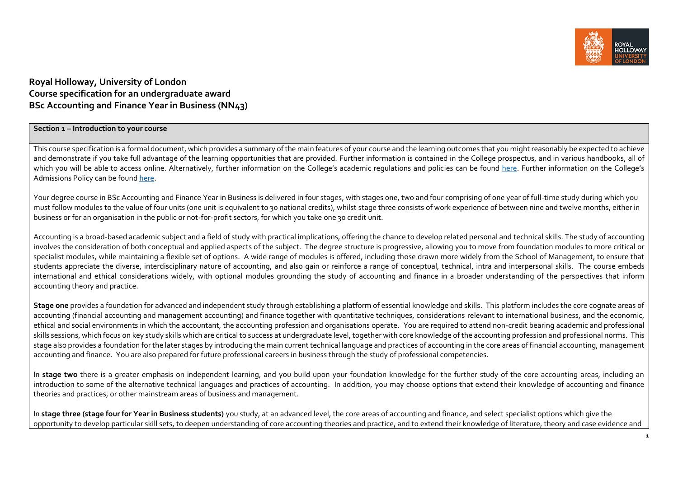

# **Royal Holloway, University of London Course specification for an undergraduate award BSc Accounting and Finance Year in Business (NN43)**

### **Section 1 – Introduction to your course**

This course specification is a formal document, which provides a summary of the main features of your course and the learning outcomes that you might reasonably be expected to achieve and demonstrate if you take full advantage of the learning opportunities that are provided. Further information is contained in the College prospectus, and in various handbooks, all of which you will be able to access online. Alternatively, further information on the College's academic regulations and policies can be found [here.](https://intranet.royalholloway.ac.uk/staff/teaching/aqpo/academic-regulations-and-policies/academic-regulations-and-policies.aspx) Further information on the College's Admissions Policy can be found [here.](https://www.royalholloway.ac.uk/studying-here/applying/admissions-policy-and-procedures/)

Your degree course in BSc Accounting and Finance Year in Business is delivered in four stages, with stages one, two and four comprising of one year of full-time study during which you must follow modules to the value of four units (one unit is equivalent to 30 national credits), whilst stage three consists of work experience of between nine and twelve months, either in business or for an organisation in the public or not-for-profit sectors, for which you take one 30 credit unit.

Accounting is a broad-based academic subject and a field of study with practical implications, offering the chance to develop related personal and technical skills. The study of accounting involves the consideration of both conceptual and applied aspects of the subject. The degree structure is progressive, allowing you to move from foundation modules to more critical or specialist modules, while maintaining a flexible set of options. A wide range of modules is offered, including those drawn more widely from the School of Management, to ensure that students appreciate the diverse, interdisciplinary nature of accounting, and also gain or reinforce a range of conceptual, technical, intra and interpersonal skills. The course embeds international and ethical considerations widely, with optional modules grounding the study of accounting and finance in a broader understanding of the perspectives that inform accounting theory and practice.

**Stage one** provides a foundation for advanced and independent study through establishing a platform of essential knowledge and skills. This platform includes the core cognate areas of accounting (financial accounting and management accounting) and finance together with quantitative techniques, considerations relevant to international business, and the economic, ethical and social environments in which the accountant, the accounting profession and organisations operate. You are required to attend non-credit bearing academic and professional skills sessions, which focus on key study skills which are critical to success at undergraduate level, together with core knowledge of the accounting profession and professional norms. This stage also provides a foundation for the later stages by introducing the main current technical language and practices of accounting in the core areas of financial accounting, management accounting and finance. You are also prepared for future professional careers in business through the study of professional competencies.

In **stage two** there is a greater emphasis on independent learning, and you build upon your foundation knowledge for the further study of the core accounting areas, including an introduction to some of the alternative technical languages and practices of accounting. In addition, you may choose options that extend their knowledge of accounting and finance theories and practices, or other mainstream areas of business and management.

In **stage three (stage four for Year in Business students)** you study, at an advanced level, the core areas of accounting and finance, and select specialist options which give the opportunity to develop particular skill sets, to deepen understanding of core accounting theories and practice, and to extend their knowledge of literature, theory and case evidence and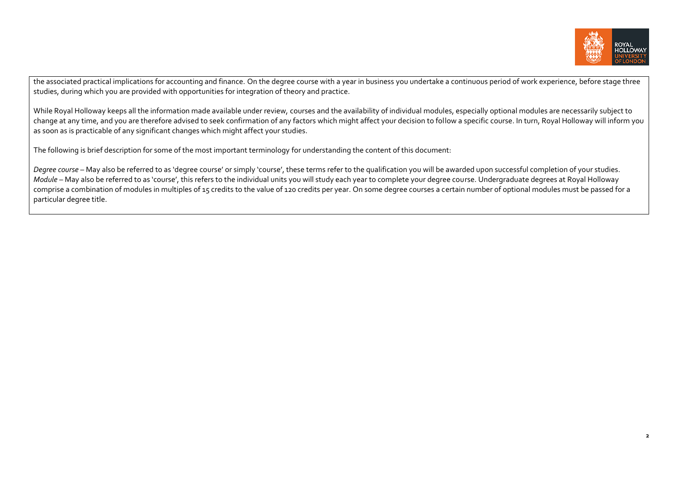

the associated practical implications for accounting and finance. On the degree course with a year in business you undertake a continuous period of work experience, before stage three studies, during which you are provided with opportunities for integration of theory and practice.

While Royal Holloway keeps all the information made available under review, courses and the availability of individual modules, especially optional modules are necessarily subject to change at any time, and you are therefore advised to seek confirmation of any factors which might affect your decision to follow a specific course. In turn, Royal Holloway will inform you as soon as is practicable of any significant changes which might affect your studies.

The following is brief description for some of the most important terminology for understanding the content of this document:

Degree course – May also be referred to as 'degree course' or simply 'course', these terms refer to the qualification you will be awarded upon successful completion of your studies. *Module* – May also be referred to as 'course', this refers to the individual units you will study each year to complete your degree course. Undergraduate degrees at Royal Holloway comprise a combination of modules in multiples of 15 credits to the value of 120 credits per year. On some degree courses a certain number of optional modules must be passed for a particular degree title.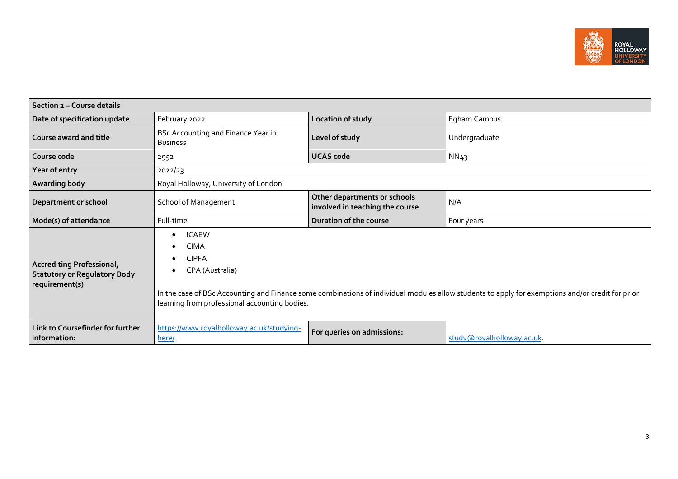

| Section 2 - Course details                                                                |                                                                                                                                                                     |                                                                 |                                                                                                                                                  |  |  |  |  |  |
|-------------------------------------------------------------------------------------------|---------------------------------------------------------------------------------------------------------------------------------------------------------------------|-----------------------------------------------------------------|--------------------------------------------------------------------------------------------------------------------------------------------------|--|--|--|--|--|
| Date of specification update                                                              | February 2022                                                                                                                                                       | Location of study                                               | Egham Campus                                                                                                                                     |  |  |  |  |  |
| Course award and title                                                                    | BSc Accounting and Finance Year in<br><b>Business</b>                                                                                                               | Level of study                                                  | Undergraduate                                                                                                                                    |  |  |  |  |  |
| Course code                                                                               | 2952                                                                                                                                                                | <b>UCAS code</b>                                                | NN43                                                                                                                                             |  |  |  |  |  |
| Year of entry                                                                             | 2022/23                                                                                                                                                             |                                                                 |                                                                                                                                                  |  |  |  |  |  |
| Awarding body                                                                             | Royal Holloway, University of London                                                                                                                                |                                                                 |                                                                                                                                                  |  |  |  |  |  |
| <b>School of Management</b><br>Department or school                                       |                                                                                                                                                                     | Other departments or schools<br>involved in teaching the course | N/A                                                                                                                                              |  |  |  |  |  |
| Mode(s) of attendance                                                                     | Full-time                                                                                                                                                           | Duration of the course                                          | Four years                                                                                                                                       |  |  |  |  |  |
| <b>Accrediting Professional,</b><br><b>Statutory or Regulatory Body</b><br>requirement(s) | <b>ICAEW</b><br>$\bullet$<br><b>CIMA</b><br>$\bullet$<br><b>CIPFA</b><br>$\bullet$<br>CPA (Australia)<br>$\bullet$<br>learning from professional accounting bodies. |                                                                 | In the case of BSc Accounting and Finance some combinations of individual modules allow students to apply for exemptions and/or credit for prior |  |  |  |  |  |
| Link to Coursefinder for further<br>information:                                          | https://www.royalholloway.ac.uk/studying-<br>here/                                                                                                                  | For queries on admissions:                                      | study@royalholloway.ac.uk.                                                                                                                       |  |  |  |  |  |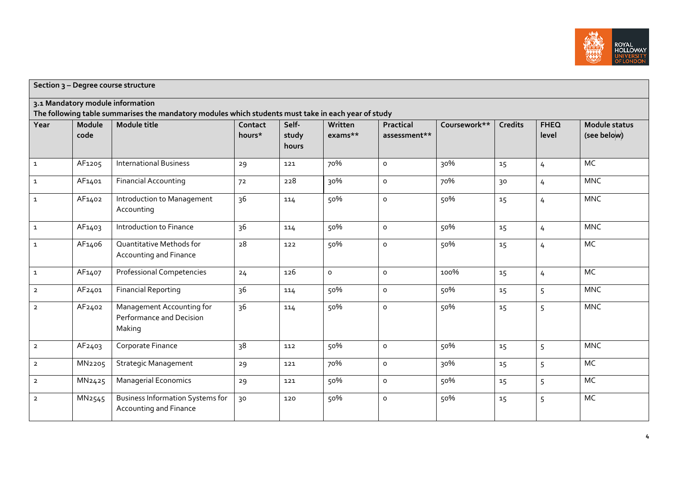

|                | Section 3 - Degree course structure |                                                                                                                     |                   |                         |                    |                           |              |                |                      |                                     |
|----------------|-------------------------------------|---------------------------------------------------------------------------------------------------------------------|-------------------|-------------------------|--------------------|---------------------------|--------------|----------------|----------------------|-------------------------------------|
|                |                                     | 3.1 Mandatory module information                                                                                    |                   |                         |                    |                           |              |                |                      |                                     |
| Year           | Module<br>code                      | The following table summarises the mandatory modules which students must take in each year of study<br>Module title | Contact<br>hours* | Self-<br>study<br>hours | Written<br>exams** | Practical<br>assessment** | Coursework** | <b>Credits</b> | <b>FHEQ</b><br>level | <b>Module status</b><br>(see below) |
| $\mathbf{1}$   | AF1205                              | <b>International Business</b>                                                                                       | 29                | 121                     | 70%                | o                         | 30%          | 15             | $\overline{4}$       | <b>MC</b>                           |
| $\mathbf{1}$   | AF1401                              | <b>Financial Accounting</b>                                                                                         | 72                | 228                     | 30%                | o                         | 70%          | 30             | $\overline{4}$       | <b>MNC</b>                          |
| $\mathbf{1}$   | AF1402                              | Introduction to Management<br>Accounting                                                                            | 36                | 114                     | 50%                | $\circ$                   | 50%          | 15             | 4                    | <b>MNC</b>                          |
| $\mathbf{1}$   | AF1403                              | Introduction to Finance                                                                                             | 36                | 114                     | 50%                | o                         | 50%          | 15             | $\overline{4}$       | <b>MNC</b>                          |
| $\mathbf{1}$   | AF1406                              | Quantitative Methods for<br>Accounting and Finance                                                                  | 28                | 122                     | 50%                | $\circ$                   | 50%          | 15             | 4                    | MC                                  |
| $\mathbf 1$    | AF1407                              | <b>Professional Competencies</b>                                                                                    | 24                | 126                     | $\circ$            | $\circ$                   | 100%         | 15             | $\overline{4}$       | MC                                  |
| $\overline{2}$ | AF2401                              | <b>Financial Reporting</b>                                                                                          | 36                | 114                     | 50%                | $\circ$                   | 50%          | 15             | 5                    | <b>MNC</b>                          |
| $\overline{2}$ | AF2402                              | Management Accounting for<br>Performance and Decision<br>Making                                                     | 36                | 114                     | 50%                | $\circ$                   | 50%          | 15             | 5                    | <b>MNC</b>                          |
| $\overline{2}$ | AF2403                              | Corporate Finance                                                                                                   | 38                | 112                     | 50%                | $\circ$                   | 50%          | 15             | 5                    | <b>MNC</b>                          |
| $\overline{2}$ | MN2205                              | <b>Strategic Management</b>                                                                                         | 29                | 121                     | 70%                | $\circ$                   | 30%          | 15             | 5                    | MC                                  |
| $\overline{2}$ | MN2425                              | <b>Managerial Economics</b>                                                                                         | 29                | 121                     | 50%                | $\circ$                   | 50%          | 15             | 5                    | MC                                  |
| $\overline{2}$ | MN <sub>2545</sub>                  | <b>Business Information Systems for</b><br>Accounting and Finance                                                   | 30                | 120                     | 50%                | $\circ$                   | 50%          | 15             | 5                    | MC                                  |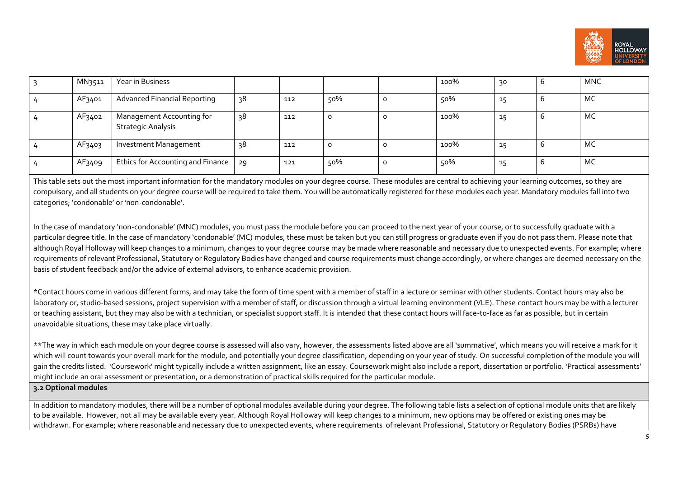

| MN3511 | Year in Business                                       |    |     |         | 100% | 30 | O | <b>MNC</b> |
|--------|--------------------------------------------------------|----|-----|---------|------|----|---|------------|
| AF3401 | <b>Advanced Financial Reporting</b>                    | 38 | 112 | 50%     | 50%  | ÷. | b | MC         |
| AF3402 | Management Accounting for<br><b>Strategic Analysis</b> | 38 | 112 | 0       | 100% | ÷. |   | MC         |
| AF3403 | <b>Investment Management</b>                           | 38 | 112 | $\circ$ | 100% | ÷. |   | MC         |
| AF3409 | Ethics for Accounting and Finance 29                   |    | 121 | 50%     | 50%  | ÷. | b | MC         |

This table sets out the most important information for the mandatory modules on your degree course. These modules are central to achieving your learning outcomes, so they are compulsory, and all students on your degree course will be required to take them. You will be automatically registered for these modules each year. Mandatory modules fall into two categories; 'condonable' or 'non-condonable'.

In the case of mandatory 'non-condonable' (MNC) modules, you must pass the module before you can proceed to the next year of your course, or to successfully graduate with a particular degree title. In the case of mandatory 'condonable' (MC) modules, these must be taken but you can still progress or graduate even if you do not pass them. Please note that although Royal Holloway will keep changes to a minimum, changes to your degree course may be made where reasonable and necessary due to unexpected events. For example; where requirements of relevant Professional, Statutory or Requlatory Bodies have changed and course requirements must change accordingly, or where changes are deemed necessary on the basis of student feedback and/or the advice of external advisors, to enhance academic provision.

\*Contact hours come in various different forms, and may take the form of time spent with a member of staff in a lecture or seminar with other students. Contact hours may also be laboratory or, studio-based sessions, project supervision with a member of staff, or discussion through a virtual learning environment (VLE). These contact hours may be with a lecturer or teaching assistant, but they may also be with a technician, or specialist support staff. It is intended that these contact hours will face-to-face as far as possible, but in certain unavoidable situations, these may take place virtually.

\*\*The way in which each module on your degree course is assessed will also vary, however, the assessments listed above are all 'summative', which means you will receive a mark for it which will count towards your overall mark for the module, and potentially your degree classification, depending on your year of study. On successful completion of the module you will gain the credits listed. 'Coursework' might typically include a written assignment, like an essay. Coursework might also include a report, dissertation or portfolio. 'Practical assessments' might include an oral assessment or presentation, or a demonstration of practical skills required for the particular module.

### **3.2 Optional modules**

In addition to mandatory modules, there will be a number of optional modules available during your degree. The following table lists a selection of optional module units that are likely to be available. However, not all may be available every year. Although Royal Holloway will keep changes to a minimum, new options may be offered or existing ones may be withdrawn. For example; where reasonable and necessary due to unexpected events, where requirements of relevant Professional, Statutory or Requlatory Bodies (PSRBs) have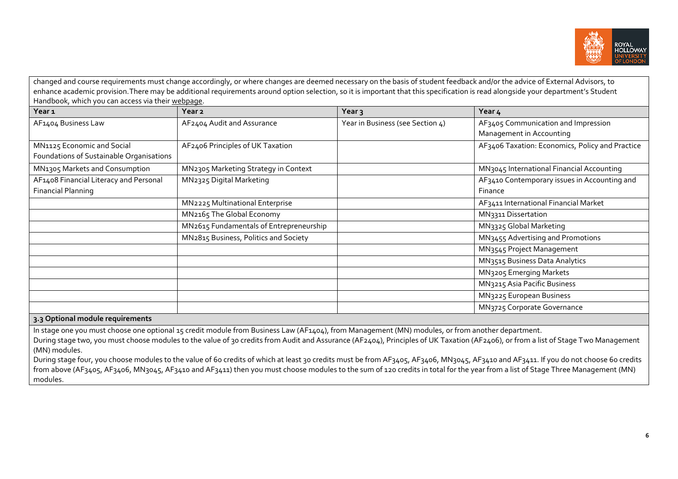

changed and course requirements must change accordingly, or where changes are deemed necessary on the basis of student feedback and/or the advice of External Advisors, to enhance academic provision.There may be additional requirements around option selection, so it is important that this specification is read alongside your department's Student Handbook, which you can access via thei[r webpage.](https://www.royalholloway.ac.uk/research-and-teaching/departments-and-schools/management/) 

| Year <sub>1</sub>                        | Year 2                                  | Year <sub>3</sub>                | Year 4                                                |
|------------------------------------------|-----------------------------------------|----------------------------------|-------------------------------------------------------|
| AF1404 Business Law                      | AF2404 Audit and Assurance              | Year in Business (see Section 4) | AF3405 Communication and Impression                   |
|                                          |                                         |                                  | Management in Accounting                              |
| MN1125 Economic and Social               | AF2406 Principles of UK Taxation        |                                  | AF3406 Taxation: Economics, Policy and Practice       |
| Foundations of Sustainable Organisations |                                         |                                  |                                                       |
| MN1305 Markets and Consumption           | MN2305 Marketing Strategy in Context    |                                  | MN <sub>3045</sub> International Financial Accounting |
| AF1408 Financial Literacy and Personal   | MN2325 Digital Marketing                |                                  | AF3410 Contemporary issues in Accounting and          |
| <b>Financial Planning</b>                |                                         |                                  | Finance                                               |
|                                          | MN2225 Multinational Enterprise         |                                  | AF3411 International Financial Market                 |
|                                          | MN2165 The Global Economy               |                                  | MN3311 Dissertation                                   |
|                                          | MN2615 Fundamentals of Entrepreneurship |                                  | MN3325 Global Marketing                               |
|                                          | MN2815 Business, Politics and Society   |                                  | MN3455 Advertising and Promotions                     |
|                                          |                                         |                                  | MN3545 Project Management                             |
|                                          |                                         |                                  | MN3515 Business Data Analytics                        |
|                                          |                                         |                                  | MN3205 Emerging Markets                               |
|                                          |                                         |                                  | MN3215 Asia Pacific Business                          |
|                                          |                                         |                                  | MN3225 European Business                              |
|                                          |                                         |                                  | MN3725 Corporate Governance                           |
| 3.3 Optional module requirements         |                                         |                                  |                                                       |

In stage one you must choose one optional 15 credit module from Business Law (AF1404), from Management (MN) modules, or from another department.

During stage two, you must choose modules to the value of 30 credits from Audit and Assurance (AF2404), Principles of UK Taxation (AF2406), or from a list of Stage Two Management (MN) modules.

During stage four, you choose modules to the value of 60 credits of which at least 30 credits must be from AF3405, AF3406, MN3045, AF3410 and AF3411. If you do not choose 60 credits from above (AF3405, AF3406, MN3045, AF3410 and AF3411) then you must choose modules to the sum of 120 credits in total for the year from a list of Stage Three Management (MN) modules.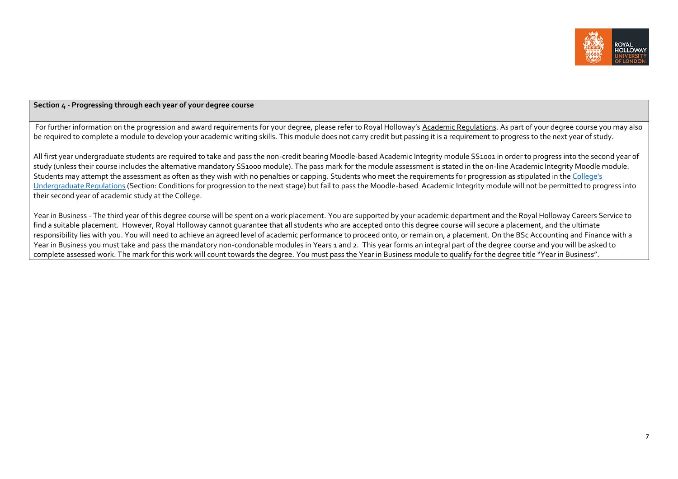

# **Section 4 - Progressing through each year of your degree course**

For further information on the progression and award requirements for your degree, please refer to Royal Holloway's [Academic Regulations.](https://www.royalholloway.ac.uk/students/study/our-college-regulations/attendance-and-academic-regulations.aspx) As part of your degree course you may also be required to complete a module to develop your academic writing skills. This module does not carry credit but passing it is a requirement to progress to the next year of study.

All first year undergraduate students are required to take and pass the non-credit bearing Moodle-based Academic Integrity module SS1001 in order to progress into the second year of study (unless their course includes the alternative mandatory SS1000 module). The pass mark for the module assessment is stated in the on-line Academic Integrity Moodle module. Students may attempt the assessment as often as they wish with no penalties or capping. Students who meet the requirements for progression as stipulated in the [College's](https://eur03.safelinks.protection.outlook.com/?url=http%3A%2F%2Fwww.rhul.ac.uk%2Fforstudents%2Fstudying%2Facademicregulations%2Fhome.aspx&data=04%7C01%7CLee.Sheriston%40rhul.ac.uk%7C4a46a15c704b4e884f0808da0bf1103c%7C2efd699a19224e69b601108008d28a2e%7C0%7C0%7C637835427223112502%7CUnknown%7CTWFpbGZsb3d8eyJWIjoiMC4wLjAwMDAiLCJQIjoiV2luMzIiLCJBTiI6Ik1haWwiLCJXVCI6Mn0%3D%7C3000&sdata=dazkS%2FwIhdLoShdreeUgigEghTFNe49cyZC56Be0dxo%3D&reserved=0)  [Undergraduate Regulations](https://eur03.safelinks.protection.outlook.com/?url=http%3A%2F%2Fwww.rhul.ac.uk%2Fforstudents%2Fstudying%2Facademicregulations%2Fhome.aspx&data=04%7C01%7CLee.Sheriston%40rhul.ac.uk%7C4a46a15c704b4e884f0808da0bf1103c%7C2efd699a19224e69b601108008d28a2e%7C0%7C0%7C637835427223112502%7CUnknown%7CTWFpbGZsb3d8eyJWIjoiMC4wLjAwMDAiLCJQIjoiV2luMzIiLCJBTiI6Ik1haWwiLCJXVCI6Mn0%3D%7C3000&sdata=dazkS%2FwIhdLoShdreeUgigEghTFNe49cyZC56Be0dxo%3D&reserved=0) (Section: Conditions for progression to the next stage) but fail to pass the Moodle-based Academic Integrity module will not be permitted to progress into their second year of academic study at the College.

Year in Business - The third year of this degree course will be spent on a work placement. You are supported by your academic department and the Royal Holloway Careers Service to find a suitable placement. However, Royal Holloway cannot guarantee that all students who are accepted onto this degree course will secure a placement, and the ultimate responsibility lies with you. You will need to achieve an agreed level of academic performance to proceed onto, or remain on, a placement. On the BSc Accounting and Finance with a Year in Business you must take and pass the mandatory non-condonable modules in Years 1 and 2. This year forms an integral part of the degree course and you will be asked to complete assessed work. The mark for this work will count towards the degree. You must pass the Year in Business module to qualify for the degree title "Year in Business".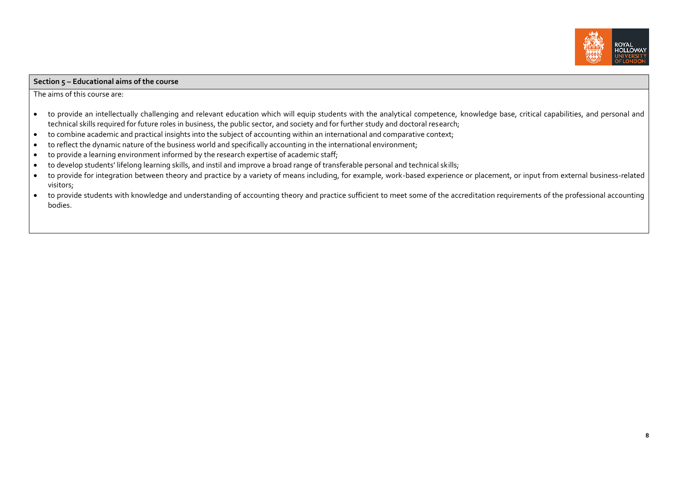

#### **Section 5 – Educational aims of the course**

The aims of this course are:

- to provide an intellectually challenging and relevant education which will equip students with the analytical competence, knowledge base, critical capabilities, and personal and technical skills required for future roles in business, the public sector, and society and for further study and doctoral research;
- to combine academic and practical insights into the subject of accounting within an international and comparative context;
- to reflect the dynamic nature of the business world and specifically accounting in the international environment;
- to provide a learning environment informed by the research expertise of academic staff;
- to develop students' lifelong learning skills, and instil and improve a broad range of transferable personal and technical skills;
- to provide for integration between theory and practice by a variety of means including, for example, work-based experience or placement, or input from external business-related visitors;
- to provide students with knowledge and understanding of accounting theory and practice sufficient to meet some of the accreditation requirements of the professional accounting bodies.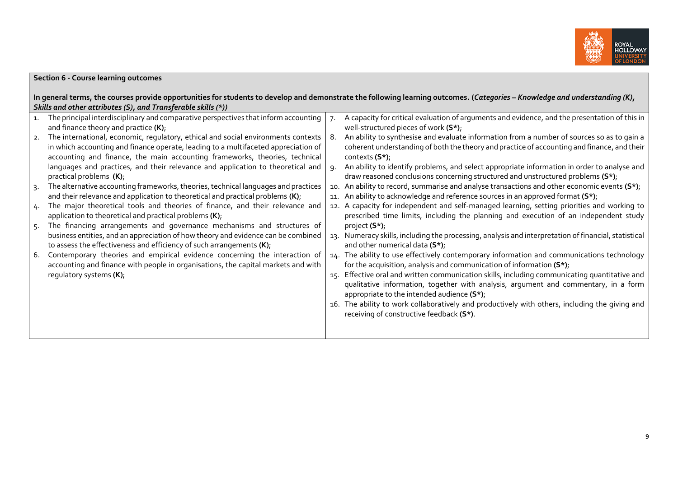

|                | <b>Section 6 - Course learning outcomes</b>                                                                                                                                                                                                                                                                                                                                                                                                                                                                                                                                                                                                                                                                                                                                                                                                                                                                                                                                                                                                                                                                                                                                                                                                                            |                  |                                                                                                                                                                                                                                                                                                                                                                                                                                                                                                                                                                                                                                                                                                                                                                                                                                                                                                                                                                                                                                                                                                                                                                                                                                                                                                                                                           |
|----------------|------------------------------------------------------------------------------------------------------------------------------------------------------------------------------------------------------------------------------------------------------------------------------------------------------------------------------------------------------------------------------------------------------------------------------------------------------------------------------------------------------------------------------------------------------------------------------------------------------------------------------------------------------------------------------------------------------------------------------------------------------------------------------------------------------------------------------------------------------------------------------------------------------------------------------------------------------------------------------------------------------------------------------------------------------------------------------------------------------------------------------------------------------------------------------------------------------------------------------------------------------------------------|------------------|-----------------------------------------------------------------------------------------------------------------------------------------------------------------------------------------------------------------------------------------------------------------------------------------------------------------------------------------------------------------------------------------------------------------------------------------------------------------------------------------------------------------------------------------------------------------------------------------------------------------------------------------------------------------------------------------------------------------------------------------------------------------------------------------------------------------------------------------------------------------------------------------------------------------------------------------------------------------------------------------------------------------------------------------------------------------------------------------------------------------------------------------------------------------------------------------------------------------------------------------------------------------------------------------------------------------------------------------------------------|
|                | Skills and other attributes (S), and Transferable skills (*))                                                                                                                                                                                                                                                                                                                                                                                                                                                                                                                                                                                                                                                                                                                                                                                                                                                                                                                                                                                                                                                                                                                                                                                                          |                  | In general terms, the courses provide opportunities for students to develop and demonstrate the following learning outcomes. (Categories - Knowledge and understanding (K),                                                                                                                                                                                                                                                                                                                                                                                                                                                                                                                                                                                                                                                                                                                                                                                                                                                                                                                                                                                                                                                                                                                                                                               |
| 1.<br>5.<br>6. | The principal interdisciplinary and comparative perspectives that inform accounting<br>and finance theory and practice (K);<br>2. The international, economic, regulatory, ethical and social environments contexts<br>in which accounting and finance operate, leading to a multifaceted appreciation of<br>accounting and finance, the main accounting frameworks, theories, technical<br>languages and practices, and their relevance and application to theoretical and<br>practical problems (K);<br>The alternative accounting frameworks, theories, technical languages and practices<br>and their relevance and application to theoretical and practical problems $(K)$ ;<br>4. The major theoretical tools and theories of finance, and their relevance and<br>application to theoretical and practical problems (K);<br>The financing arrangements and governance mechanisms and structures of<br>business entities, and an appreciation of how theory and evidence can be combined<br>to assess the effectiveness and efficiency of such arrangements $(K)$ ;<br>Contemporary theories and empirical evidence concerning the interaction of<br>accounting and finance with people in organisations, the capital markets and with<br>regulatory systems (K); | 7.<br>-8.<br>-9. | A capacity for critical evaluation of arguments and evidence, and the presentation of this in<br>well-structured pieces of work (S*);<br>An ability to synthesise and evaluate information from a number of sources so as to gain a<br>coherent understanding of both the theory and practice of accounting and finance, and their<br>contexts $(S^*)$ ;<br>An ability to identify problems, and select appropriate information in order to analyse and<br>draw reasoned conclusions concerning structured and unstructured problems (S*);<br>10. An ability to record, summarise and analyse transactions and other economic events $(S^*)$ ;<br>11. An ability to acknowledge and reference sources in an approved format (S*);<br>12. A capacity for independent and self-managed learning, setting priorities and working to<br>prescribed time limits, including the planning and execution of an independent study<br>project (S*);<br>13. Numeracy skills, including the processing, analysis and interpretation of financial, statistical<br>and other numerical data (S*);<br>14. The ability to use effectively contemporary information and communications technology<br>for the acquisition, analysis and communication of information (S*);<br>15. Effective oral and written communication skills, including communicating quantitative and |
|                |                                                                                                                                                                                                                                                                                                                                                                                                                                                                                                                                                                                                                                                                                                                                                                                                                                                                                                                                                                                                                                                                                                                                                                                                                                                                        |                  | qualitative information, together with analysis, argument and commentary, in a form<br>appropriate to the intended audience (S*);                                                                                                                                                                                                                                                                                                                                                                                                                                                                                                                                                                                                                                                                                                                                                                                                                                                                                                                                                                                                                                                                                                                                                                                                                         |
|                |                                                                                                                                                                                                                                                                                                                                                                                                                                                                                                                                                                                                                                                                                                                                                                                                                                                                                                                                                                                                                                                                                                                                                                                                                                                                        |                  | 16. The ability to work collaboratively and productively with others, including the giving and<br>receiving of constructive feedback (S*).                                                                                                                                                                                                                                                                                                                                                                                                                                                                                                                                                                                                                                                                                                                                                                                                                                                                                                                                                                                                                                                                                                                                                                                                                |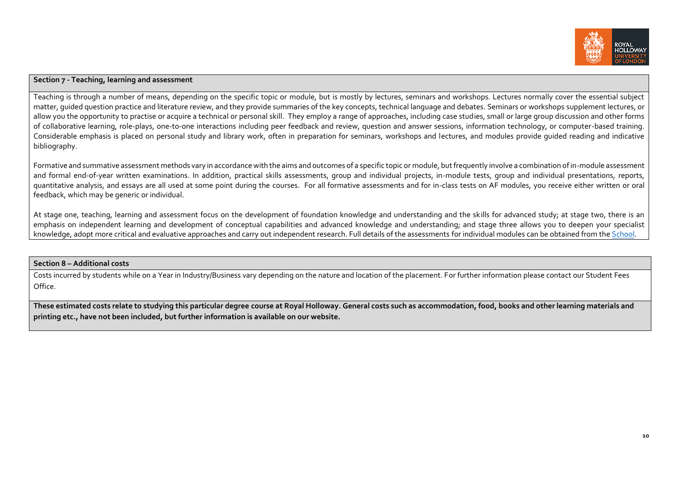

# **Section 7 - Teaching, learning and assessment**

Teaching is through a number of means, depending on the specific topic or module, but is mostly by lectures, seminars and workshops. Lectures normally cover the essential subject matter, guided question practice and literature review, and they provide summaries of the key concepts, technical language and debates. Seminars or workshops supplement lectures, or allow you the opportunity to practise or acquire a technical or personal skill. They employ a range of approaches, including case studies, small or large group discussion and other forms of collaborative learning, role-plays, one-to-one interactions including peer feedback and review, question and answer sessions, information technology, or computer-based training. Considerable emphasis is placed on personal study and library work, often in preparation for seminars, workshops and lectures, and modules provide guided reading and indicative bibliography.

Formative and summative assessment methods vary in accordance with the aims and outcomes of a specific topic or module, but frequently involve a combination of in-module assessment and formal end-of-year written examinations. In addition, practical skills assessments, group and individual presubsects, group and individual presentations, reports, quantitative analysis, and essays are all used at some point during the courses. For all formative assessments and for in-class tests on AF modules, you receive either written or oral feedback, which may be generic or individual.

At stage one, teaching, learning and assessment focus on the development of foundation knowledge and understanding and the skills for advanced study; at stage two, there is an emphasis on independent learning and development of conceptual capabilities and advanced knowledge and understanding; and stage three allows you to deepen your specialist knowledge, adopt more critical and evaluative approaches and carry out independent research. Full details of the assessments for individual modules can be obtained from th[e School.](https://www.royalholloway.ac.uk/management/home.aspx)

### **Section 8 – Additional costs**

Costs incurred by students while on a Year in Industry/Business vary depending on the nature and location of the placement. For further information please contact our Student Fees Office.

**These estimated costs relate to studying this particular degree course at Royal Holloway. General costs such as accommodation, food, books and other learning materials and printing etc., have not been included, but further information is available on our website.**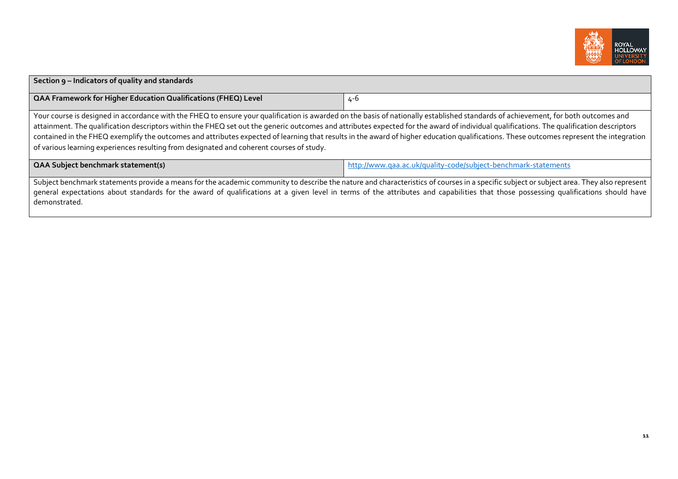

| Section 9 - Indicators of quality and standards                                                                                                                                                                                                                                                                                                                                                                                                                                                                                                                                                                                                                       |                                                                |  |  |  |  |
|-----------------------------------------------------------------------------------------------------------------------------------------------------------------------------------------------------------------------------------------------------------------------------------------------------------------------------------------------------------------------------------------------------------------------------------------------------------------------------------------------------------------------------------------------------------------------------------------------------------------------------------------------------------------------|----------------------------------------------------------------|--|--|--|--|
| <b>QAA Framework for Higher Education Qualifications (FHEQ) Level</b>                                                                                                                                                                                                                                                                                                                                                                                                                                                                                                                                                                                                 | 4-6                                                            |  |  |  |  |
| Your course is designed in accordance with the FHEQ to ensure your qualification is awarded on the basis of nationally established standards of achievement, for both outcomes and<br>attainment. The qualification descriptors within the FHEQ set out the generic outcomes and attributes expected for the award of individual qualifications. The qualification descriptors<br>contained in the FHEQ exemplify the outcomes and attributes expected of learning that results in the award of higher education qualifications. These outcomes represent the integration<br>of various learning experiences resulting from designated and coherent courses of study. |                                                                |  |  |  |  |
| <b>QAA Subject benchmark statement(s)</b>                                                                                                                                                                                                                                                                                                                                                                                                                                                                                                                                                                                                                             | http://www.qaa.ac.uk/quality-code/subject-benchmark-statements |  |  |  |  |
| Subject benchmark statements provide a means for the academic community to describe the nature and characteristics of courses in a specific subject or subject area. They also represent<br>general expectations about standards for the award of qualifications at a given level in terms of the attributes and capabilities that those possessing qualifications should have<br>demonstrated.                                                                                                                                                                                                                                                                       |                                                                |  |  |  |  |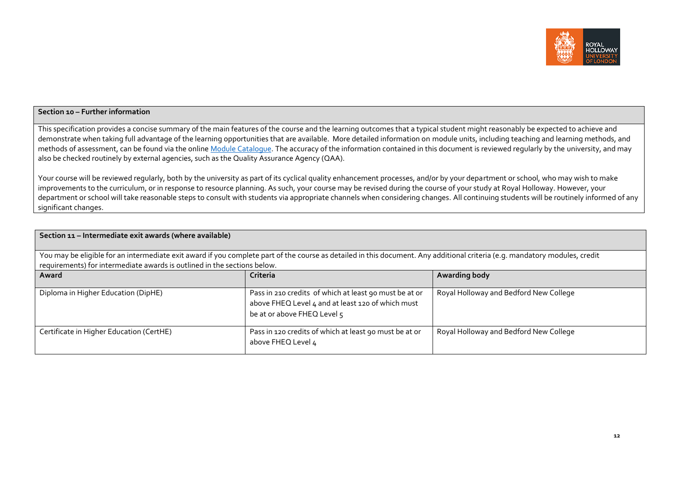

# **Section 10 – Further information**

This specification provides a concise summary of the main features of the course and the learning outcomes that a typical student might reasonably be expected to achieve and demonstrate when taking full advantage of the learning opportunities that are available. More detailed information on module units, including teaching and learning methods, and methods of assessment, can be found via the online Module [Catalogue.](http://banner-ssb.rhul.ac.uk/BANPROD/bwckctlg.p_disp_dyn_ctlg) The accuracy of the information contained in this document is reviewed regularly by the university, and may also be checked routinely by external agencies, such as the Quality Assurance Agency (QAA).

Your course will be reviewed regularly, both by the university as part of its cyclical quality enhancement processes, and/or by your department or school, who may wish to make improvements to the curriculum, or in response to resource planning. As such, your course may be revised during the course of your study at Royal Holloway. However, your department or school will take reasonable steps to consult with students via appropriate channels when considering changes. All continuing students will be routinely informed of any significant changes.

| Section 11 - Intermediate exit awards (where available)                                                                                                                                                                                                 |                                                                                                                                            |                                        |  |  |  |  |  |
|---------------------------------------------------------------------------------------------------------------------------------------------------------------------------------------------------------------------------------------------------------|--------------------------------------------------------------------------------------------------------------------------------------------|----------------------------------------|--|--|--|--|--|
| You may be eligible for an intermediate exit award if you complete part of the course as detailed in this document. Any additional criteria (e.g. mandatory modules, credit<br>requirements) for intermediate awards is outlined in the sections below. |                                                                                                                                            |                                        |  |  |  |  |  |
| Award                                                                                                                                                                                                                                                   | Criteria                                                                                                                                   | <b>Awarding body</b>                   |  |  |  |  |  |
| Diploma in Higher Education (DipHE)                                                                                                                                                                                                                     | Pass in 210 credits of which at least 90 must be at or<br>above FHEQ Level 4 and at least 120 of which must<br>be at or above FHEQ Level 5 | Royal Holloway and Bedford New College |  |  |  |  |  |
| Certificate in Higher Education (CertHE)                                                                                                                                                                                                                | Pass in 120 credits of which at least 90 must be at or<br>above FHEQ Level 4                                                               | Royal Holloway and Bedford New College |  |  |  |  |  |